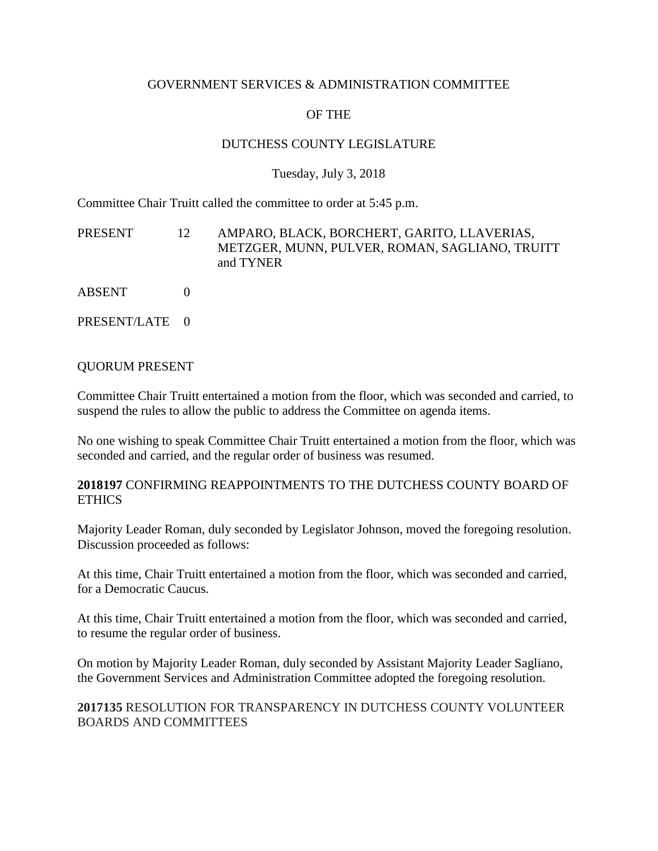#### GOVERNMENT SERVICES & ADMINISTRATION COMMITTEE

# OF THE

## DUTCHESS COUNTY LEGISLATURE

## Tuesday, July 3, 2018

Committee Chair Truitt called the committee to order at 5:45 p.m.

PRESENT 12 AMPARO, BLACK, BORCHERT, GARITO, LLAVERIAS, METZGER, MUNN, PULVER, ROMAN, SAGLIANO, TRUITT and TYNER

ABSENT 0

PRESENT/LATE 0

#### QUORUM PRESENT

Committee Chair Truitt entertained a motion from the floor, which was seconded and carried, to suspend the rules to allow the public to address the Committee on agenda items.

No one wishing to speak Committee Chair Truitt entertained a motion from the floor, which was seconded and carried, and the regular order of business was resumed.

### **2018197** CONFIRMING REAPPOINTMENTS TO THE DUTCHESS COUNTY BOARD OF ETHICS

Majority Leader Roman, duly seconded by Legislator Johnson, moved the foregoing resolution. Discussion proceeded as follows:

At this time, Chair Truitt entertained a motion from the floor, which was seconded and carried, for a Democratic Caucus.

At this time, Chair Truitt entertained a motion from the floor, which was seconded and carried, to resume the regular order of business.

On motion by Majority Leader Roman, duly seconded by Assistant Majority Leader Sagliano, the Government Services and Administration Committee adopted the foregoing resolution.

### **2017135** RESOLUTION FOR TRANSPARENCY IN DUTCHESS COUNTY VOLUNTEER BOARDS AND COMMITTEES